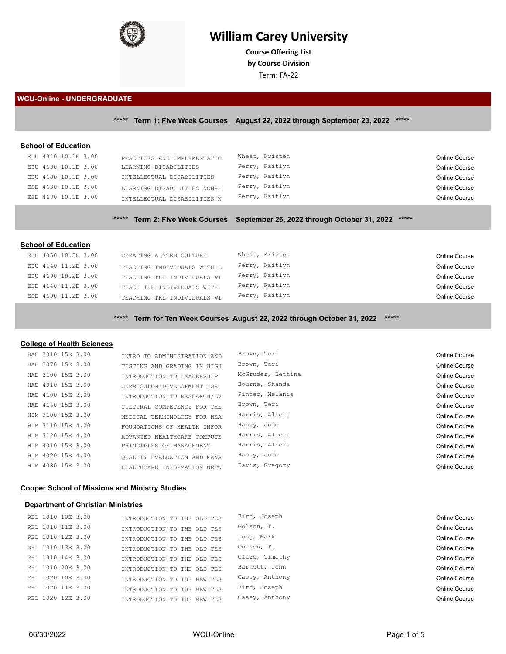

# **William Carey University**

**Course Ofering List by Course Division**

Term: FA-22

#### **WCU-Online - UNDERGRADUATE**

**\*\*\*\*\* Term 1: Five Week Courses August 22, 2022 through September 23, 2022 \*\*\*\*\***

# **School of Education**

| EDU 4040 10.1E 3.00 | PRACTICES AND IMPLEMENTATIO | Wheat, Kristen | Online Course |
|---------------------|-----------------------------|----------------|---------------|
| EDU 4630 10.1E 3.00 | LEARNING DISABILITIES       | Perry, Kaitlyn | Online Course |
| EDU 4680 10.1E 3.00 | INTELLECTUAL DISABILITIES   | Perry, Kaitlyn | Online Course |
| ESE 4630 10.1E 3.00 | LEARNING DISABILITIES NON-E | Perry, Kaitlyn | Online Course |
| ESE 4680 10.1E 3.00 | INTELLECTUAL DISABILITIES N | Perry, Kaitlyn | Online Course |
|                     |                             |                |               |

# **\*\*\*\*\* Term 2: Five Week Courses September 26, 2022 through October 31, 2022 \*\*\*\*\***

#### **School of Education**

| EDU 4050 10.2E 3.00 | CREATING A STEM CULTURE     | Wheat, Kristen | Online Course |
|---------------------|-----------------------------|----------------|---------------|
| EDU 4640 11.2E 3.00 | TEACHING INDIVIDUALS WITH L | Perry, Kaitlyn | Online Course |
| EDU 4690 18.2E 3.00 | TEACHING THE INDIVIDUALS WI | Perry, Kaitlyn | Online Course |
| ESE 4640 11.2E 3.00 | TEACH THE INDIVIDUALS WITH  | Perry, Kaitlyn | Online Course |
| ESE 4690 11.2E 3.00 | TEACHING THE INDIVIDUALS WI | Perry, Kaitlyn | Online Course |
|                     |                             |                |               |

**\*\*\*\*\* Term for Ten Week Courses August 22, 2022 through October 31, 2022 \*\*\*\*\***

## **College of Health Sciences**

| HAE 3010 15E 3.00 | INTRO TO ADMINISTRATION AND | Brown, Teri       | Online Course |
|-------------------|-----------------------------|-------------------|---------------|
| HAE 3070 15E 3.00 | TESTING AND GRADING IN HIGH | Brown, Teri       | Online Course |
| HAE 3100 15E 3.00 | INTRODUCTION TO LEADERSHIP  | McGruder, Bettina | Online Course |
| HAE 4010 15E 3.00 | CURRICULUM DEVELOPMENT FOR  | Bourne, Shanda    | Online Course |
| HAE 4100 15E 3.00 | INTRODUCTION TO RESEARCH/EV | Pinter, Melanie   | Online Course |
| HAE 4160 15E 3.00 | CULTURAL COMPETENCY FOR THE | Brown, Teri       | Online Course |
| HIM 3100 15E 3.00 | MEDICAL TERMINOLOGY FOR HEA | Harris, Alicia    | Online Course |
| HIM 3110 15E 4.00 | FOUNDATIONS OF HEALTH INFOR | Haney, Jude       | Online Course |
| HIM 3120 15E 4.00 | ADVANCED HEALTHCARE COMPUTE | Harris, Alicia    | Online Course |
| HIM 4010 15E 3.00 | PRINCIPLES OF MANAGEMENT    | Harris, Alicia    | Online Course |
| HIM 4020 15E 4.00 | OUALITY EVALUATION AND MANA | Haney, Jude       | Online Course |
| HIM 4080 15E 3.00 | HEALTHCARE INFORMATION NETW | Davis, Gregory    | Online Course |

## **Cooper School of Missions and Ministry Studies**

## **Department of Christian Ministries**

| REL 1010 10E 3.00 | INTRODUCTION TO THE OLD TES | Bird, Joseph   | Online Course |
|-------------------|-----------------------------|----------------|---------------|
| REL 1010 11E 3.00 | INTRODUCTION TO THE OLD TES | Golson, T.     | Online Course |
| REL 1010 12E 3.00 | INTRODUCTION TO THE OLD TES | Long, Mark     | Online Course |
| REL 1010 13E 3.00 | INTRODUCTION TO THE OLD TES | Golson, T.     | Online Course |
| REL 1010 14E 3.00 | INTRODUCTION TO THE OLD TES | Glaze, Timothy | Online Course |
| REL 1010 20E 3.00 | INTRODUCTION TO THE OLD TES | Barnett, John  | Online Course |
| REL 1020 10E 3.00 | INTRODUCTION TO THE NEW TES | Casey, Anthony | Online Course |
| REL 1020 11E 3.00 | INTRODUCTION TO THE NEW TES | Bird, Joseph   | Online Course |
| REL 1020 12E 3.00 | INTRODUCTION TO THE NEW TES | Casey, Anthony | Online Course |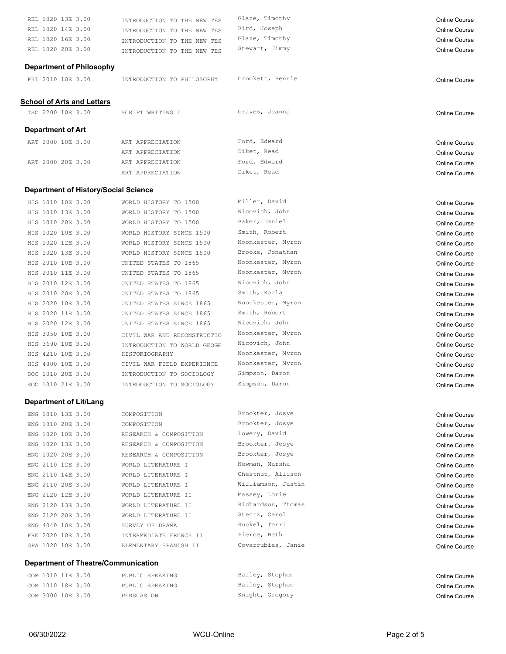| REL 1020 13E 3.00                           | INTRODUCTION TO THE NEW TES                          | Glaze, Timothy     | <b>Online Course</b> |
|---------------------------------------------|------------------------------------------------------|--------------------|----------------------|
| REL 1020 14E 3.00                           | INTRODUCTION TO THE NEW TES                          | Bird, Joseph       | <b>Online Course</b> |
| REL 1020 16E 3.00                           | INTRODUCTION TO THE NEW TES                          | Glaze, Timothy     | Online Course        |
| REL 1020 20E 3.00                           | INTRODUCTION TO THE NEW TES                          | Stewart, Jimmy     | <b>Online Course</b> |
|                                             |                                                      |                    |                      |
| <b>Department of Philosophy</b>             |                                                      |                    |                      |
| PHI 2010 10E 3.00                           | INTRODUCTION TO PHILOSOPHY                           | Crockett, Bennie   | <b>Online Course</b> |
| <b>School of Arts and Letters</b>           |                                                      |                    |                      |
| TSC 2200 10E 3.00                           | SCRIPT WRITING I                                     | Graves, Jeanna     | <b>Online Course</b> |
|                                             |                                                      |                    |                      |
| <b>Department of Art</b>                    |                                                      |                    |                      |
| ART 2000 10E 3.00                           | ART APPRECIATION                                     | Ford, Edward       | <b>Online Course</b> |
|                                             | ART APPRECIATION                                     | Diket, Read        | <b>Online Course</b> |
| ART 2000 20E 3.00                           | ART APPRECIATION                                     | Ford, Edward       | <b>Online Course</b> |
|                                             | ART APPRECIATION                                     | Diket, Read        | <b>Online Course</b> |
| <b>Department of History/Social Science</b> |                                                      |                    |                      |
|                                             |                                                      | Miller, David      |                      |
| HIS 1010 10E 3.00                           | WORLD HISTORY TO 1500                                | Nicovich, John     | <b>Online Course</b> |
| HIS 1010 13E 3.00                           | WORLD HISTORY TO 1500                                | Baker, Daniel      | Online Course        |
| HIS 1010 20E 3.00                           | WORLD HISTORY TO 1500                                | Smith, Robert      | <b>Online Course</b> |
| HIS 1020 10E 3.00                           | WORLD HISTORY SINCE 1500                             | Noonkester, Myron  | Online Course        |
| HIS 1020 12E 3.00                           | WORLD HISTORY SINCE 1500<br>WORLD HISTORY SINCE 1500 | Brooke, Jonathan   | <b>Online Course</b> |
| HIS 1020 13E 3.00                           |                                                      | Noonkester, Myron  | <b>Online Course</b> |
| HIS 2010 10E 3.00<br>HIS 2010 11E 3.00      | UNITED STATES TO 1865<br>UNITED STATES TO 1865       | Noonkester, Myron  | <b>Online Course</b> |
| HIS 2010 12E 3.00                           |                                                      | Nicovich, John     | <b>Online Course</b> |
|                                             | UNITED STATES TO 1865                                | Smith, Karla       | Online Course        |
| HIS 2010 20E 3.00<br>HIS 2020 10E 3.00      | UNITED STATES TO 1865                                | Noonkester, Myron  | Online Course        |
| HIS 2020 11E 3.00                           | UNITED STATES SINCE 1865<br>UNITED STATES SINCE 1865 | Smith, Robert      | <b>Online Course</b> |
|                                             |                                                      | Nicovich, John     | <b>Online Course</b> |
| HIS 2020 12E 3.00                           | UNITED STATES SINCE 1865                             | Noonkester, Myron  | <b>Online Course</b> |
| HIS 3050 10E 3.00                           | CIVIL WAR AND RECONSTRUCTIO                          | Nicovich, John     | <b>Online Course</b> |
| HIS 3690 10E 3.00                           | INTRODUCTION TO WORLD GEOGR                          | Noonkester, Myron  | <b>Online Course</b> |
| HIS 4210 10E 3.00<br>HIS 4800 10E 3.00      | HISTORIOGRAPHY<br>CIVIL WAR FIELD EXPERIENCE         | Noonkester, Myron  | <b>Online Course</b> |
| SOC 1010 20E 3.00                           |                                                      | Simpson, Daron     | <b>Online Course</b> |
|                                             | INTRODUCTION TO SOCIOLOGY                            | Simpson, Daron     | <b>Online Course</b> |
| SOC 1010 21E 3.00                           | INTRODUCTION TO SOCIOLOGY                            |                    | Online Course        |
| <b>Department of Lit/Lang</b>               |                                                      |                    |                      |
| ENG 1010 13E 3.00                           | COMPOSITION                                          | Brookter, Josye    | <b>Online Course</b> |
| ENG 1010 20E 3.00                           | COMPOSITION                                          | Brookter, Josye    | Online Course        |
| ENG 1020 10E 3.00                           | RESEARCH & COMPOSITION                               | Lowery, David      | <b>Online Course</b> |
| ENG 1020 13E 3.00                           | RESEARCH & COMPOSITION                               | Brookter, Josye    | Online Course        |
| ENG 1020 20E 3.00                           | RESEARCH & COMPOSITION                               | Brookter, Josye    | Online Course        |
| ENG 2110 12E 3.00                           | WORLD LITERATURE I                                   | Newman, Marsha     | <b>Online Course</b> |
| ENG 2110 14E 3.00                           | WORLD LITERATURE I                                   | Chestnut, Allison  | Online Course        |
| ENG 2110 20E 3.00                           | WORLD LITERATURE I                                   | Williamson, Justin | <b>Online Course</b> |
| ENG 2120 12E 3.00                           | WORLD LITERATURE II                                  | Massey, Lorie      | <b>Online Course</b> |
| ENG 2120 13E 3.00                           | WORLD LITERATURE II                                  | Richardson, Thomas | <b>Online Course</b> |
| ENG 2120 20E 3.00                           | WORLD LITERATURE II                                  | Stentz, Carol      | Online Course        |
| ENG 4040 10E 3.00                           | SURVEY OF DRAMA                                      | Ruckel, Terri      | Online Course        |
| FRE 2020 10E 3.00                           | INTERMEDIATE FRENCH II                               | Pierce, Beth       | Online Course        |
| SPA 1020 10E 3.00                           | ELEMENTARY SPANISH II                                | Covarrubias, Janie | <b>Online Course</b> |
| <b>Department of Theatre/Communication</b>  |                                                      |                    |                      |
| COM 1010 11E 3.00                           | PUBLIC SPEAKING                                      | Bailey, Stephen    |                      |
| COM 1010 18E 3.00                           | PUBLIC SPEAKING                                      | Bailey, Stephen    | Online Course        |
|                                             |                                                      |                    | Online Course        |

COM 3000 10E 3.00 PERSUASION RESULTING COMBINITY Cregory COM SONG COMBINE COURSE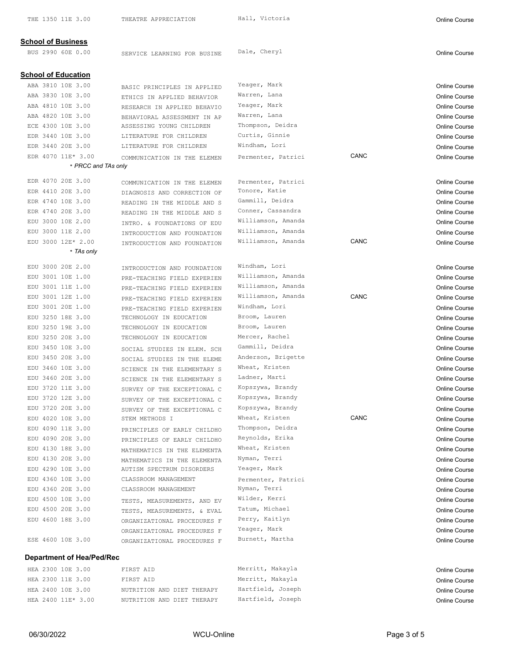| <b>School of Business</b>        |                                                        |                    |      |                      |
|----------------------------------|--------------------------------------------------------|--------------------|------|----------------------|
| BUS 2990 60E 0.00                | SERVICE LEARNING FOR BUSINE                            | Dale, Cheryl       |      | <b>Online Course</b> |
|                                  |                                                        |                    |      |                      |
| <b>School of Education</b>       |                                                        |                    |      |                      |
| ABA 3810 10E 3.00                | BASIC PRINCIPLES IN APPLIED                            | Yeager, Mark       |      | <b>Online Course</b> |
| ABA 3830 10E 3.00                | ETHICS IN APPLIED BEHAVIOR                             | Warren, Lana       |      | <b>Online Course</b> |
| ABA 4810 10E 3.00                | RESEARCH IN APPLIED BEHAVIO                            | Yeager, Mark       |      | <b>Online Course</b> |
| ABA 4820 10E 3.00                | BEHAVIORAL ASSESSMENT IN AP                            | Warren, Lana       |      | <b>Online Course</b> |
| ECE 4300 10E 3.00                | ASSESSING YOUNG CHILDREN                               | Thompson, Deidra   |      | <b>Online Course</b> |
| EDR 3440 10E 3.00                | LITERATURE FOR CHILDREN                                | Curtis, Ginnie     |      | <b>Online Course</b> |
| EDR 3440 20E 3.00                | LITERATURE FOR CHILDREN                                | Windham, Lori      |      | <b>Online Course</b> |
| EDR 4070 11E* 3.00               | COMMUNICATION IN THE ELEMEN                            | Permenter, Patrici | CANC | Online Course        |
| * PRCC and TAs only              |                                                        |                    |      |                      |
| EDR 4070 20E 3.00                | COMMUNICATION IN THE ELEMEN                            | Permenter, Patrici |      | <b>Online Course</b> |
| EDR 4410 20E 3.00                | DIAGNOSIS AND CORRECTION OF                            | Tonore, Katie      |      | <b>Online Course</b> |
| EDR 4740 10E 3.00                | READING IN THE MIDDLE AND S                            | Gammill, Deidra    |      | <b>Online Course</b> |
| EDR 4740 20E 3.00                | READING IN THE MIDDLE AND S                            | Conner, Cassandra  |      | <b>Online Course</b> |
| EDU 3000 10E 2.00                | INTRO. & FOUNDATIONS OF EDU                            | Williamson, Amanda |      | <b>Online Course</b> |
| EDU 3000 11E 2.00                | INTRODUCTION AND FOUNDATION                            | Williamson, Amanda |      | <b>Online Course</b> |
| EDU 3000 12E* 2.00               | INTRODUCTION AND FOUNDATION                            | Williamson, Amanda | CANC | <b>Online Course</b> |
| * TAs only                       |                                                        |                    |      |                      |
| EDU 3000 20E 2.00                | INTRODUCTION AND FOUNDATION                            | Windham, Lori      |      | <b>Online Course</b> |
| EDU 3001 10E 1.00                |                                                        | Williamson, Amanda |      | <b>Online Course</b> |
| EDU 3001 11E 1.00                | PRE-TEACHING FIELD EXPERIEN                            | Williamson, Amanda |      | Online Course        |
| EDU 3001 12E 1.00                | PRE-TEACHING FIELD EXPERIEN                            | Williamson, Amanda | CANC | <b>Online Course</b> |
| EDU 3001 20E 1.00                | PRE-TEACHING FIELD EXPERIEN                            | Windham, Lori      |      | <b>Online Course</b> |
| EDU 3250 18E 3.00                | PRE-TEACHING FIELD EXPERIEN<br>TECHNOLOGY IN EDUCATION | Broom, Lauren      |      |                      |
| EDU 3250 19E 3.00                | TECHNOLOGY IN EDUCATION                                | Broom, Lauren      |      | <b>Online Course</b> |
| EDU 3250 20E 3.00                |                                                        | Mercer, Rachel     |      | <b>Online Course</b> |
| EDU 3450 10E 3.00                | TECHNOLOGY IN EDUCATION                                | Gammill, Deidra    |      | <b>Online Course</b> |
| EDU 3450 20E 3.00                | SOCIAL STUDIES IN ELEM. SCH                            | Anderson, Brigette |      | <b>Online Course</b> |
|                                  | SOCIAL STUDIES IN THE ELEME                            | Wheat, Kristen     |      | <b>Online Course</b> |
| EDU 3460 10E 3.00                | SCIENCE IN THE ELEMENTARY S                            | Ladner, Marti      |      | <b>Online Course</b> |
| EDU 3460 20E 3.00                | SCIENCE IN THE ELEMENTARY S                            | Kopszywa, Brandy   |      | <b>Online Course</b> |
| EDU 3720 11E 3.00                | SURVEY OF THE EXCEPTIONAL C                            |                    |      | <b>Online Course</b> |
| EDU 3720 12E 3.00                | SURVEY OF THE EXCEPTIONAL C                            | Kopszywa, Brandy   |      | <b>Online Course</b> |
| EDU 3720 20E 3.00                | SURVEY OF THE EXCEPTIONAL C                            | Kopszywa, Brandy   |      | <b>Online Course</b> |
| EDU 4020 10E 3.00                | STEM METHODS I                                         | Wheat, Kristen     | CANC | <b>Online Course</b> |
| EDU 4090 11E 3.00                | PRINCIPLES OF EARLY CHILDHO                            | Thompson, Deidra   |      | Online Course        |
| EDU 4090 20E 3.00                | PRINCIPLES OF EARLY CHILDHO                            | Reynolds, Erika    |      | <b>Online Course</b> |
| EDU 4130 18E 3.00                | MATHEMATICS IN THE ELEMENTA                            | Wheat, Kristen     |      | <b>Online Course</b> |
| EDU 4130 20E 3.00                | MATHEMATICS IN THE ELEMENTA                            | Nyman, Terri       |      | <b>Online Course</b> |
| EDU 4290 10E 3.00                | AUTISM SPECTRUM DISORDERS                              | Yeager, Mark       |      | Online Course        |
| EDU 4360 10E 3.00                | CLASSROOM MANAGEMENT                                   | Permenter, Patrici |      | <b>Online Course</b> |
| EDU 4360 20E 3.00                | CLASSROOM MANAGEMENT                                   | Nyman, Terri       |      | <b>Online Course</b> |
| EDU 4500 10E 3.00                | TESTS, MEASUREMENTS, AND EV                            | Wilder, Kerri      |      | <b>Online Course</b> |
| EDU 4500 20E 3.00                | TESTS, MEASUREMENTS, & EVAL                            | Tatum, Michael     |      | <b>Online Course</b> |
| EDU 4600 18E 3.00                | ORGANIZATIONAL PROCEDURES F                            | Perry, Kaitlyn     |      | Online Course        |
|                                  | ORGANIZATIONAL PROCEDURES F                            | Yeager, Mark       |      | Online Course        |
| ESE 4600 10E 3.00                | ORGANIZATIONAL PROCEDURES F                            | Burnett, Martha    |      | <b>Online Course</b> |
| <b>Department of Hea/Ped/Rec</b> |                                                        |                    |      |                      |
| HEA 2300 10E 3.00                | FIRST AID                                              | Merritt, Makayla   |      | <b>Online Course</b> |
| HEA 2300 11E 3.00                | FIRST AID                                              | Merritt, Makayla   |      | <b>Online Course</b> |
| HEA 2400 10E 3.00                | NUTRITION AND DIET THERAPY                             | Hartfield, Joseph  |      | Online Course        |
| HEA 2400 11E* 3.00               | NUTRITION AND DIET THERAPY                             | Hartfield, Joseph  |      | Online Course        |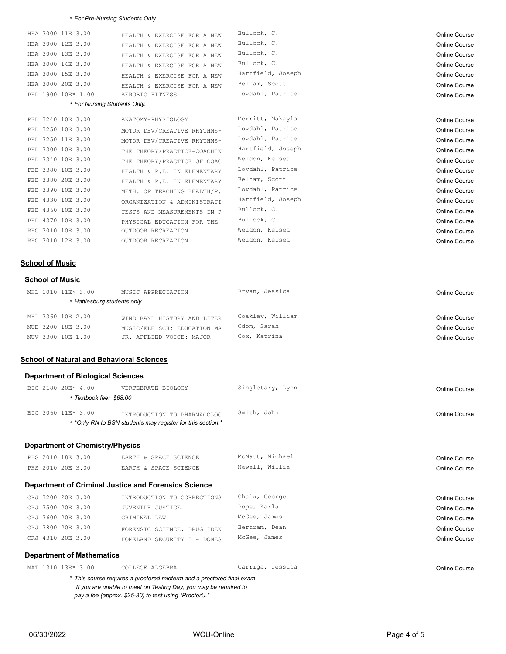#### \* *For Pre-Nursing Students Only.*

| HEA 3000 11E 3.00            | HEALTH & EXERCISE FOR A NEW | Bullock, C.       | <b>Online Course</b> |
|------------------------------|-----------------------------|-------------------|----------------------|
| HEA 3000 12E 3.00            | HEALTH & EXERCISE FOR A NEW | Bullock, C.       | <b>Online Course</b> |
| HEA 3000 13E 3.00            | HEALTH & EXERCISE FOR A NEW | Bullock, C.       | <b>Online Course</b> |
| HEA 3000 14E 3.00            | HEALTH & EXERCISE FOR A NEW | Bullock, C.       | <b>Online Course</b> |
| HEA 3000 15E 3.00            | HEALTH & EXERCISE FOR A NEW | Hartfield, Joseph | <b>Online Course</b> |
| HEA 3000 20E 3.00            | HEALTH & EXERCISE FOR A NEW | Belham, Scott     | <b>Online Course</b> |
| PED 1900 10E* 1.00           | AEROBIC FITNESS             | Lovdahl, Patrice  | <b>Online Course</b> |
| * For Nursing Students Only. |                             |                   |                      |
| PED 3240 10E 3.00            | ANATOMY-PHYSIOLOGY          | Merritt, Makayla  | Online Course        |
| PED 3250 10E 3.00            | MOTOR DEV/CREATIVE RHYTHMS- | Lovdahl, Patrice  | <b>Online Course</b> |
| PED 3250 11E 3.00            | MOTOR DEV/CREATIVE RHYTHMS- | Lovdahl, Patrice  | <b>Online Course</b> |
| PED 3300 10E 3.00            | THE THEORY/PRACTICE-COACHIN | Hartfield, Joseph | <b>Online Course</b> |
| PED 3340 10E 3.00            | THE THEORY/PRACTICE OF COAC | Weldon, Kelsea    | <b>Online Course</b> |
| PED 3380 10E 3.00            | HEALTH & P.E. IN ELEMENTARY | Lovdahl, Patrice  | <b>Online Course</b> |
| PED 3380 20E 3.00            | HEALTH & P.E. IN ELEMENTARY | Belham, Scott     | <b>Online Course</b> |
| PED 3390 10E 3.00            | METH. OF TEACHING HEALTH/P. | Lovdahl, Patrice  | <b>Online Course</b> |
| PED 4330 10E 3.00            | ORGANIZATION & ADMINISTRATI | Hartfield, Joseph | <b>Online Course</b> |
| PED 4360 10E 3.00            | TESTS AND MEASUREMENTS IN P | Bullock, C.       | <b>Online Course</b> |
| PED 4370 10E 3.00            | PHYSICAL EDUCATION FOR THE  | Bullock, C.       | <b>Online Course</b> |
| REC 3010 10E 3.00            | OUTDOOR RECREATION          | Weldon, Kelsea    | <b>Online Course</b> |
| REC 3010 12E 3.00            | OUTDOOR RECREATION          | Weldon, Kelsea    | <b>Online Course</b> |

## **School of Music**

### **School of Music**

| MHL 1010 11E* 3.00        | MUSIC APPRECIATION          | Bryan, Jessica   | Online Course |
|---------------------------|-----------------------------|------------------|---------------|
| Hattiesburg students only |                             |                  |               |
| MHL 3360 10E 2.00         | WIND BAND HISTORY AND LITER | Coakley, William | Online Course |
| MUE 3200 18E 3.00         | MUSIC/ELE SCH: EDUCATION MA | Odom, Sarah      | Online Course |
| MUV 3300 10E 1.00         | JR. APPLIED VOICE: MAJOR    | Cox, Katrina     | Online Course |

#### **School of Natural and Behavioral Sciences**

## **Department of Biological Sciences**

| BIO 2180 20E* 4.00    | VERTEBRATE BIOLOGY                                         | Singletary, Lynn | Online Course |
|-----------------------|------------------------------------------------------------|------------------|---------------|
| Textbook fee: \$68.00 |                                                            |                  |               |
| BIO 3060 11E* 3.00    | INTRODUCTION TO PHARMACOLOG                                | Smith, John      | Online Course |
|                       | * *Only RN to BSN students may register for this section.* |                  |               |

# **Department of Chemistry/Physics**

| PHS 2010 18E 3.<br>3.00 | SPACE SCIENCE<br>EARTH &      | Michael<br>McNatt | Online Course |
|-------------------------|-------------------------------|-------------------|---------------|
| PHS 2010 20E 3.00       | SPACE SCIENCE<br><b>FARTH</b> | Newel             | Online Course |

# **Department of Criminal Justice and Forensics Science**

| CRJ 3200 20E 3.00 | INTRODUCTION TO CORRECTIONS | Chaix, George | Online Course |
|-------------------|-----------------------------|---------------|---------------|
| CRJ 3500 20E 3.00 | JUVENILE JUSTICE            | Pope, Karla   | Online Course |
| CRJ 3600 20E 3.00 | CRIMINAL LAW                | McGee, James  | Online Course |
| CRJ 3800 20E 3.00 | FORENSIC SCIENCE, DRUG IDEN | Bertram, Dean | Online Course |
| CRJ 4310 20E 3.00 | HOMELAND SECURITY I - DOMES | McGee, James  | Online Course |
|                   |                             |               |               |

## **Department of Mathematics**

| MAT 1310 13E* 3.00                                               |                                                                        |  | COLLEGE ALGEBRA |  | Garriga, Jessica | Online Course |
|------------------------------------------------------------------|------------------------------------------------------------------------|--|-----------------|--|------------------|---------------|
|                                                                  | * This course requires a proctored midterm and a proctored final exam. |  |                 |  |                  |               |
| If you are unable to meet on Testing Day, you may be required to |                                                                        |  |                 |  |                  |               |
|                                                                  |                                                                        |  |                 |  |                  |               |

*pay a fee (approx. \$25-30) to test using "ProctorU."*